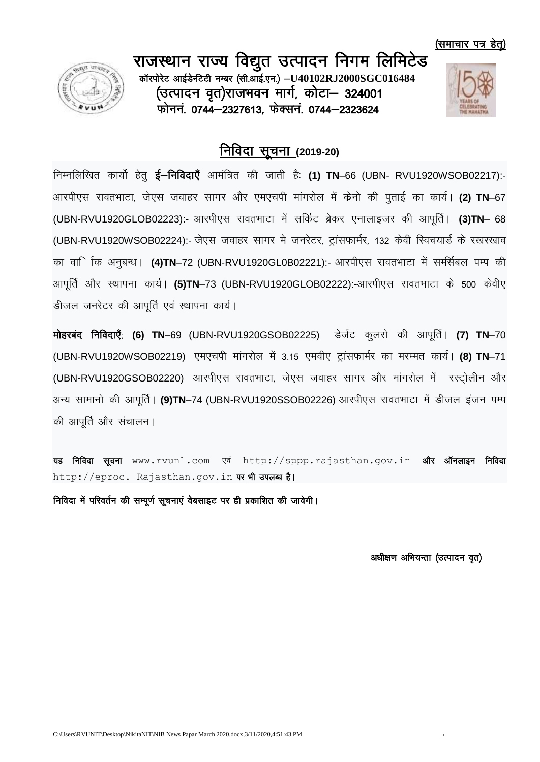

राजस्थान राज्य विद्युत उत्पादन निगम लिमिटेड कॉरपोरेट आईडेनटेटी नम्बर (सी.आई.एन.) -U40102RJ2000SGC016484 (उत्पादन वृत)राजभवन मार्ग, कोटा- 324001 .<br>फोननं. 0744–2327613, फेक्सनं. 0744–2323624



# <u>निविदा सूचना (</u>2019-20)

fिम्नलिखित कार्यो हेतु **ई–निविदाएँ** आमंत्रित की जाती हैः (1) TN–66 (UBN- RVU1920WSOB02217):-आरपीएस रावतभाटा, जेएस जवाहर सागर और एमएचपी मांगरोल में केनो की पूताई का कार्य। (2) TN–67 (UBN-RVU1920GLOB02223):- आरपीएस रावतभाटा में सर्किट ब्रेकर एनालाइजर की आपूर्ति | (3)TN– 68 (UBN-RVU1920WSOB02224):- जेएस जवाहर सागर मे जनरेटर, ट्रांसफार्मर, 132 केवी स्विचयार्ड के रखरखाव का वा**ि कि अनुबन्ध। (4)TN–72 (UBN-RVU1920GL0B02221**):- आरपीएस रावतभाटा में समर्सिबल पम्प की आपर्ति और स्थापना कार्य। (5)TN–73 (UBN-RVU1920GLOB02222):-आरपीएस रावतभाटा के 500 केवीए डीजल जनरेटर की आपूर्ति एवं स्थापना कार्य।

 $\vec{r}$  **नोहरबंद निविदाएँ; (6) TN–**69 (UBN-RVU1920GSOB02225) डेर्जट कुलरो की आपूर्ति | (7) TN–70 (UBN-RVU1920WSOB02219) एमएचपी मांगरोल में 3.15 एमवीए ट्रांसफार्मर का मरम्मत कार्य। (8) TN–71 (UBN-RVU1920GSOB02220) आरपीएस रावतभाटा, जेएस जवाहर सागर और मांगरोल में रस्टोलीन और अन्य सामानो की आपूर्ति | **(9)TN**–74 (UBN-RVU1920SSOB02226) आरपीएस रावतभाटा में डीजल इंजन पम्प की आपूर्ति और संचालन।

यह निविदा सूचना www.rvunl.com एवं http://sppp.rajasthan.gov.in और ऑनलाइन निविदा http://eproc. Rajasthan.gov.in पर भी उपलब्ध है।

निविदा में परिवर्तन की सम्पूर्ण सूचनाएं वेबसाइट पर ही प्रकाशित की जावेगी।

अधीक्षण अभियन्ता (उत्पादन वृत)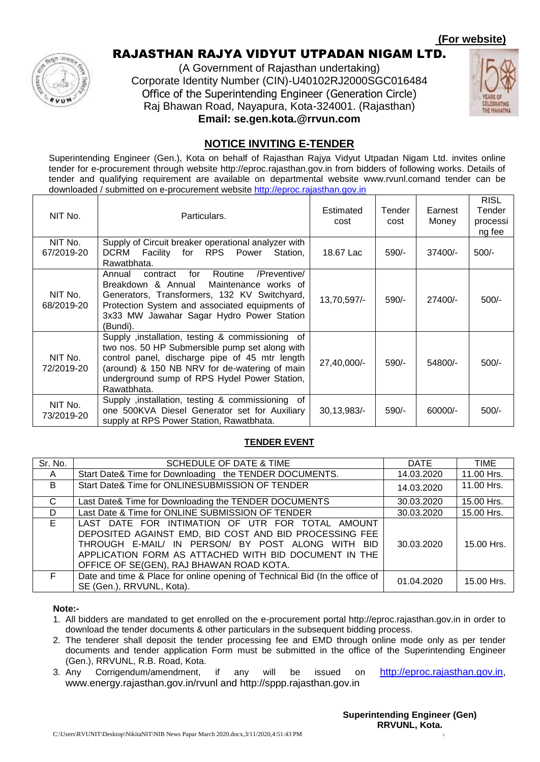### **(For website)**



## RAJASTHAN RAJYA VIDYUT UTPADAN NIGAM LTD.

(A Government of Rajasthan undertaking) Corporate Identity Number (CIN)-U40102RJ2000SGC016484 Office of the Superintending Engineer (Generation Circle) Raj Bhawan Road, Nayapura, Kota-324001. (Rajasthan) **Email: se.gen.kota.@rrvun.com**



## **NOTICE INVITING E-TENDER**

Superintending Engineer (Gen.), Kota on behalf of Rajasthan Rajya Vidyut Utpadan Nigam Ltd. invites online tender for e-procurement through website http://eproc.rajasthan.gov.in from bidders of following works. Details of tender and qualifying requirement are available on departmental website www.rvunl.comand tender can be downloaded / submitted on e-procurement website [http://eproc.rajasthan.gov.in](http://eproc.rajasthan.gov.in/)

| NIT No.               | Particulars.                                                                                                                                                                                                                                                        | Estimated<br>cost | Tender<br>cost | Earnest<br>Money | RISL<br>Tender<br>processi<br>ng fee |
|-----------------------|---------------------------------------------------------------------------------------------------------------------------------------------------------------------------------------------------------------------------------------------------------------------|-------------------|----------------|------------------|--------------------------------------|
| NIT No.<br>67/2019-20 | Supply of Circuit breaker operational analyzer with<br><b>DCRM</b><br>Facility for RPS<br>Power<br>Station,<br>Rawatbhata.                                                                                                                                          | 18.67 Lac         | $590/-$        | 37400/-          | $500/-$                              |
| NIT No.<br>68/2019-20 | for<br>Routine<br>/Preventive/<br>Annual<br>contract<br>Breakdown & Annual<br>Maintenance works of<br>Generators, Transformers, 132 KV Switchyard,<br>Protection System and associated equipments of<br>3x33 MW Jawahar Sagar Hydro Power Station<br>(Bundi).       | 13,70,597/-       | 590/-          | 27400/-          | $500/-$                              |
| NIT No.<br>72/2019-20 | Supply installation, testing & commissioning of<br>two nos. 50 HP Submersible pump set along with<br>control panel, discharge pipe of 45 mtr length<br>(around) & 150 NB NRV for de-watering of main<br>underground sump of RPS Hydel Power Station,<br>Rawatbhata. | 27,40,000/-       | $590/-$        | 54800/-          | $500/-$                              |
| NIT No.<br>73/2019-20 | Supply , installation, testing & commissioning<br>of<br>one 500KVA Diesel Generator set for Auxiliary<br>supply at RPS Power Station, Rawatbhata.                                                                                                                   | 30, 13, 983/-     | $590/-$        | 60000/-          | $500/-$                              |

#### **TENDER EVENT**

| Sr. No.      | SCHEDULE OF DATE & TIME                                                                                                                                                                                                                                              | <b>DATE</b> | TIME       |
|--------------|----------------------------------------------------------------------------------------------------------------------------------------------------------------------------------------------------------------------------------------------------------------------|-------------|------------|
| $\mathsf{A}$ | Start Date& Time for Downloading the TENDER DOCUMENTS.                                                                                                                                                                                                               | 14.03.2020  | 11.00 Hrs. |
| B            | Start Date& Time for ONLINESUBMISSION OF TENDER                                                                                                                                                                                                                      | 14.03.2020  | 11.00 Hrs. |
| C            | Last Date& Time for Downloading the TENDER DOCUMENTS                                                                                                                                                                                                                 | 30.03.2020  | 15.00 Hrs. |
| D.           | Last Date & Time for ONLINE SUBMISSION OF TENDER                                                                                                                                                                                                                     | 30.03.2020  | 15.00 Hrs. |
| E.           | LAST DATE FOR INTIMATION OF UTR FOR TOTAL AMOUNT<br>DEPOSITED AGAINST EMD, BID COST AND BID PROCESSING FEE<br>THROUGH E-MAIL/ IN PERSON/ BY POST ALONG WITH BID<br>APPLICATION FORM AS ATTACHED WITH BID DOCUMENT IN THE<br>OFFICE OF SE(GEN), RAJ BHAWAN ROAD KOTA. | 30.03.2020  | 15.00 Hrs. |
| F.           | Date and time & Place for online opening of Technical Bid (In the office of<br>SE (Gen.), RRVUNL, Kota).                                                                                                                                                             | 01.04.2020  | 15.00 Hrs. |

#### **Note:-**

- 1. All bidders are mandated to get enrolled on the e-procurement portal http://eproc.rajasthan.gov.in in order to download the tender documents & other particulars in the subsequent bidding process.
- 2. The tenderer shall deposit the tender processing fee and EMD through online mode only as per tender documents and tender application Form must be submitted in the office of the Superintending Engineer (Gen.), RRVUNL, R.B. Road, Kota.
- 3. Any Corrigendum/amendment, if any will be issued on [http://eproc.rajasthan.gov.in,](http://eproc.rajasthan.gov.in/) www.energy.rajasthan.gov.in/rvunl and http://sppp.rajasthan.gov.in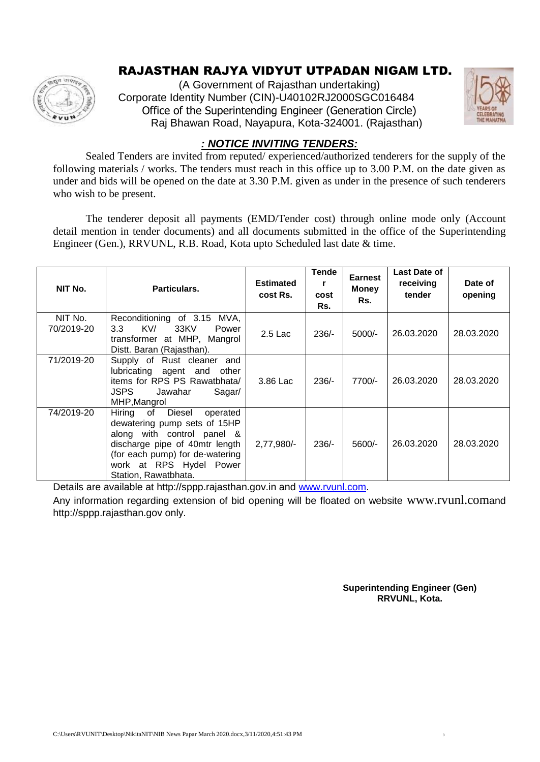

# RAJASTHAN RAJYA VIDYUT UTPADAN NIGAM LTD.

(A Government of Rajasthan undertaking) Corporate Identity Number (CIN)-U40102RJ2000SGC016484 Office of the Superintending Engineer (Generation Circle) Raj Bhawan Road, Nayapura, Kota-324001. (Rajasthan)



### *: NOTICE INVITING TENDERS:*

Sealed Tenders are invited from reputed/ experienced/authorized tenderers for the supply of the following materials / works. The tenders must reach in this office up to 3.00 P.M. on the date given as under and bids will be opened on the date at 3.30 P.M. given as under in the presence of such tenderers who wish to be present.

The tenderer deposit all payments (EMD/Tender cost) through online mode only (Account detail mention in tender documents) and all documents submitted in the office of the Superintending Engineer (Gen.), RRVUNL, R.B. Road, Kota upto Scheduled last date & time.

| NIT No.               | Particulars.                                                                                                                                                                                                             | <b>Estimated</b><br>cost Rs. | <b>Tende</b><br>r<br>cost<br>Rs. | <b>Earnest</b><br>Money<br>Rs. | Last Date of<br>receiving<br>tender | Date of<br>opening |
|-----------------------|--------------------------------------------------------------------------------------------------------------------------------------------------------------------------------------------------------------------------|------------------------------|----------------------------------|--------------------------------|-------------------------------------|--------------------|
| NIT No.<br>70/2019-20 | Reconditioning of 3.15<br>MVA.<br>KV/<br>33KV<br>3.3 <sub>2</sub><br>Power<br>transformer at MHP, Mangrol<br>Distt. Baran (Rajasthan).                                                                                   | $2.5$ Lac                    | $236/-$                          | $5000/-$                       | 26.03.2020                          | 28.03.2020         |
| 71/2019-20            | Rust cleaner<br>Supply of<br>and<br>lubricating agent and<br>other<br>items for RPS PS Rawatbhata/<br><b>JSPS</b><br>Jawahar<br>Sagar/<br>MHP, Mangrol                                                                   | 3.86 Lac                     | $236/-$                          | 7700/-                         | 26.03.2020                          | 28.03.2020         |
| 74/2019-20            | Diesel<br>Hiring<br>of<br>operated<br>dewatering pump sets of 15HP<br>along with control panel &<br>discharge pipe of 40mtr length<br>(for each pump) for de-watering<br>work at RPS Hydel Power<br>Station, Rawatbhata. | 2,77,980/-                   | $236/-$                          | $5600/-$                       | 26.03.2020                          | 28.03.2020         |

Details are available at http://sppp.rajasthan.gov.in and [www.rvunl.com.](http://www.rvunl.com/)

Any information regarding extension of bid opening will be floated on website www.rvunl.comand http://sppp.rajasthan.gov only.

> **Superintending Engineer (Gen) RRVUNL, Kota.**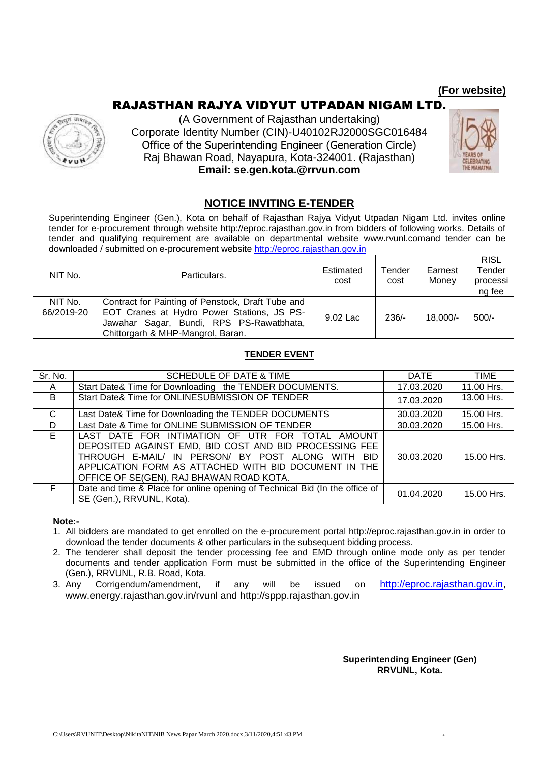#### **(For website)**

## RAJASTHAN RAJYA VIDYUT UTPADAN NIGAM LTD.



(A Government of Rajasthan undertaking) Corporate Identity Number (CIN)-U40102RJ2000SGC016484 Office of the Superintending Engineer (Generation Circle) Raj Bhawan Road, Nayapura, Kota-324001. (Rajasthan) **Email: se.gen.kota.@rrvun.com**



### **NOTICE INVITING E-TENDER**

Superintending Engineer (Gen.), Kota on behalf of Rajasthan Rajya Vidyut Utpadan Nigam Ltd. invites online tender for e-procurement through website http://eproc.rajasthan.gov.in from bidders of following works. Details of tender and qualifying requirement are available on departmental website www.rvunl.comand tender can be downloaded / submitted on e-procurement website [http://eproc.rajasthan.gov.in](http://eproc.rajasthan.gov.in/)

| NIT No.               | Particulars.                                                                                                                                                                     | Estimated<br>cost | Tender<br>cost | Earnest<br>Money | <b>RISL</b><br>Tender<br>processi<br>ng fee |
|-----------------------|----------------------------------------------------------------------------------------------------------------------------------------------------------------------------------|-------------------|----------------|------------------|---------------------------------------------|
| NIT No.<br>66/2019-20 | Contract for Painting of Penstock, Draft Tube and<br>EOT Cranes at Hydro Power Stations, JS PS-<br>Jawahar Sagar, Bundi, RPS PS-Rawatbhata,<br>Chittorgarh & MHP-Mangrol, Baran. | 9.02 Lac          | $236/$ -       | 18,000/-         | $500/-$                                     |

#### **TENDER EVENT**

| Sr. No.      | SCHEDULE OF DATE & TIME                                                                                                                                                                                                                                              | <b>DATE</b> | <b>TIME</b> |
|--------------|----------------------------------------------------------------------------------------------------------------------------------------------------------------------------------------------------------------------------------------------------------------------|-------------|-------------|
| A            | Start Date& Time for Downloading the TENDER DOCUMENTS.                                                                                                                                                                                                               | 17.03.2020  | 11.00 Hrs.  |
| B            | Start Date& Time for ONLINESUBMISSION OF TENDER                                                                                                                                                                                                                      | 17.03.2020  | 13.00 Hrs.  |
| $\mathsf{C}$ | Last Date& Time for Downloading the TENDER DOCUMENTS                                                                                                                                                                                                                 | 30.03.2020  | 15.00 Hrs.  |
| D            | Last Date & Time for ONLINE SUBMISSION OF TENDER                                                                                                                                                                                                                     | 30.03.2020  | 15.00 Hrs.  |
| E.           | LAST DATE FOR INTIMATION OF UTR FOR TOTAL AMOUNT<br>DEPOSITED AGAINST EMD, BID COST AND BID PROCESSING FEE<br>THROUGH E-MAIL/ IN PERSON/ BY POST ALONG WITH BID<br>APPLICATION FORM AS ATTACHED WITH BID DOCUMENT IN THE<br>OFFICE OF SE(GEN), RAJ BHAWAN ROAD KOTA. | 30.03.2020  | 15.00 Hrs.  |
| F.           | Date and time & Place for online opening of Technical Bid (In the office of<br>SE (Gen.), RRVUNL, Kota).                                                                                                                                                             | 01.04.2020  | 15.00 Hrs.  |

**Note:-**

- 1. All bidders are mandated to get enrolled on the e-procurement portal http://eproc.rajasthan.gov.in in order to download the tender documents & other particulars in the subsequent bidding process.
- 2. The tenderer shall deposit the tender processing fee and EMD through online mode only as per tender documents and tender application Form must be submitted in the office of the Superintending Engineer (Gen.), RRVUNL, R.B. Road, Kota.
- 3. Any Corrigendum/amendment, if any will be issued on [http://eproc.rajasthan.gov.in,](http://eproc.rajasthan.gov.in/) www.energy.rajasthan.gov.in/rvunl and http://sppp.rajasthan.gov.in

**Superintending Engineer (Gen) RRVUNL, Kota.**